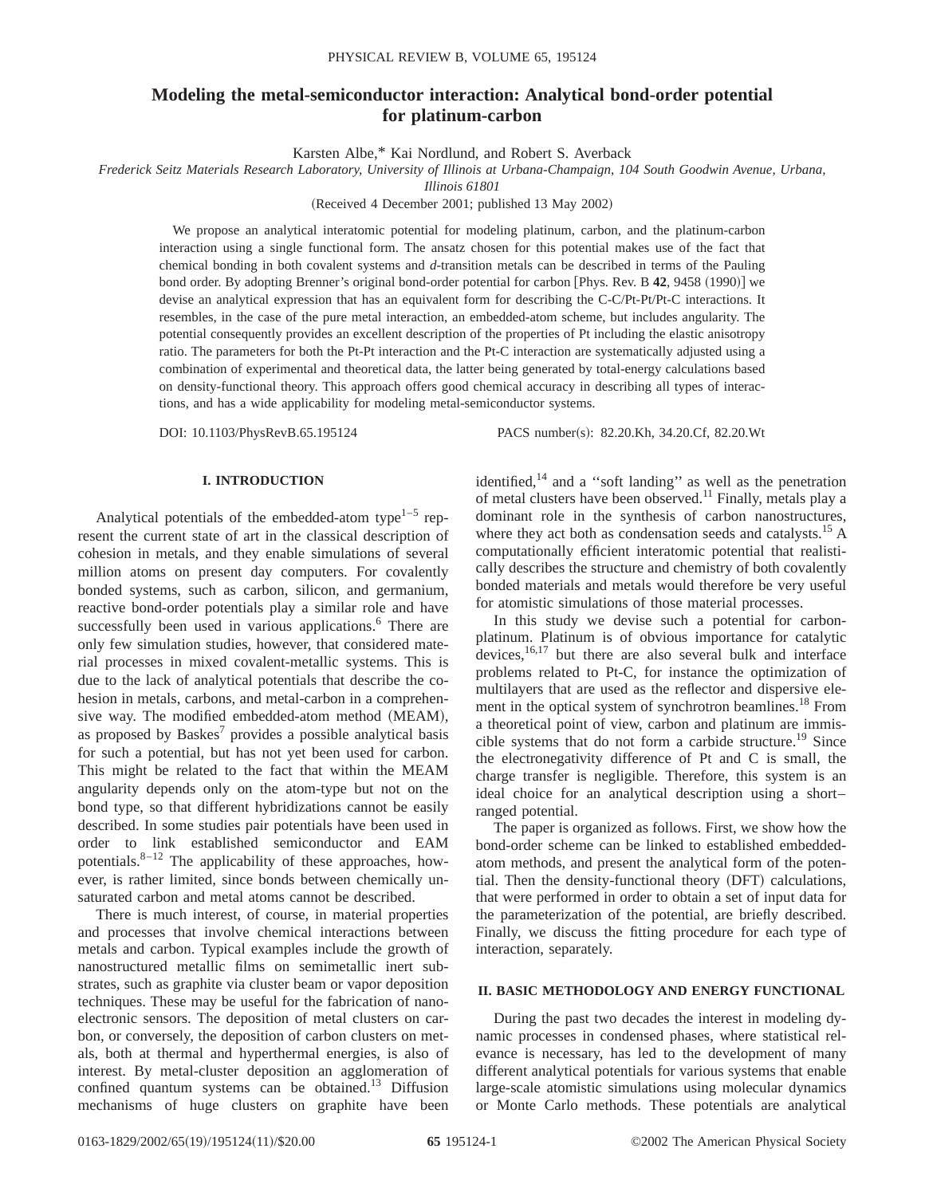# **Modeling the metal-semiconductor interaction: Analytical bond-order potential for platinum-carbon**

Karsten Albe,\* Kai Nordlund, and Robert S. Averback

*Frederick Seitz Materials Research Laboratory, University of Illinois at Urbana-Champaign, 104 South Goodwin Avenue, Urbana,*

*Illinois 61801*

(Received 4 December 2001; published 13 May 2002)

We propose an analytical interatomic potential for modeling platinum, carbon, and the platinum-carbon interaction using a single functional form. The ansatz chosen for this potential makes use of the fact that chemical bonding in both covalent systems and *d*-transition metals can be described in terms of the Pauling bond order. By adopting Brenner's original bond-order potential for carbon [Phys. Rev. B 42, 9458 (1990)] we devise an analytical expression that has an equivalent form for describing the C-C/Pt-Pt/Pt-C interactions. It resembles, in the case of the pure metal interaction, an embedded-atom scheme, but includes angularity. The potential consequently provides an excellent description of the properties of Pt including the elastic anisotropy ratio. The parameters for both the Pt-Pt interaction and the Pt-C interaction are systematically adjusted using a combination of experimental and theoretical data, the latter being generated by total-energy calculations based on density-functional theory. This approach offers good chemical accuracy in describing all types of interactions, and has a wide applicability for modeling metal-semiconductor systems.

DOI: 10.1103/PhysRevB.65.195124 PACS number(s): 82.20.Kh, 34.20.Cf, 82.20.Wt

### **I. INTRODUCTION**

Analytical potentials of the embedded-atom type<sup>1–5</sup> represent the current state of art in the classical description of cohesion in metals, and they enable simulations of several million atoms on present day computers. For covalently bonded systems, such as carbon, silicon, and germanium, reactive bond-order potentials play a similar role and have successfully been used in various applications.<sup>6</sup> There are only few simulation studies, however, that considered material processes in mixed covalent-metallic systems. This is due to the lack of analytical potentials that describe the cohesion in metals, carbons, and metal-carbon in a comprehensive way. The modified embedded-atom method (MEAM), as proposed by  $B$ askes<sup>7</sup> provides a possible analytical basis for such a potential, but has not yet been used for carbon. This might be related to the fact that within the MEAM angularity depends only on the atom-type but not on the bond type, so that different hybridizations cannot be easily described. In some studies pair potentials have been used in order to link established semiconductor and EAM potentials. $8-12$  The applicability of these approaches, however, is rather limited, since bonds between chemically unsaturated carbon and metal atoms cannot be described.

There is much interest, of course, in material properties and processes that involve chemical interactions between metals and carbon. Typical examples include the growth of nanostructured metallic films on semimetallic inert substrates, such as graphite via cluster beam or vapor deposition techniques. These may be useful for the fabrication of nanoelectronic sensors. The deposition of metal clusters on carbon, or conversely, the deposition of carbon clusters on metals, both at thermal and hyperthermal energies, is also of interest. By metal-cluster deposition an agglomeration of confined quantum systems can be obtained.13 Diffusion mechanisms of huge clusters on graphite have been

identified, $14$  and a "soft landing" as well as the penetration of metal clusters have been observed.11 Finally, metals play a dominant role in the synthesis of carbon nanostructures, where they act both as condensation seeds and catalysts.<sup>15</sup> A computationally efficient interatomic potential that realistically describes the structure and chemistry of both covalently bonded materials and metals would therefore be very useful for atomistic simulations of those material processes.

In this study we devise such a potential for carbonplatinum. Platinum is of obvious importance for catalytic devices,  $16,17$  but there are also several bulk and interface problems related to Pt-C, for instance the optimization of multilayers that are used as the reflector and dispersive element in the optical system of synchrotron beamlines.<sup>18</sup> From a theoretical point of view, carbon and platinum are immiscible systems that do not form a carbide structure.<sup>19</sup> Since the electronegativity difference of Pt and C is small, the charge transfer is negligible. Therefore, this system is an ideal choice for an analytical description using a short– ranged potential.

The paper is organized as follows. First, we show how the bond-order scheme can be linked to established embeddedatom methods, and present the analytical form of the potential. Then the density-functional theory (DFT) calculations, that were performed in order to obtain a set of input data for the parameterization of the potential, are briefly described. Finally, we discuss the fitting procedure for each type of interaction, separately.

#### **II. BASIC METHODOLOGY AND ENERGY FUNCTIONAL**

During the past two decades the interest in modeling dynamic processes in condensed phases, where statistical relevance is necessary, has led to the development of many different analytical potentials for various systems that enable large-scale atomistic simulations using molecular dynamics or Monte Carlo methods. These potentials are analytical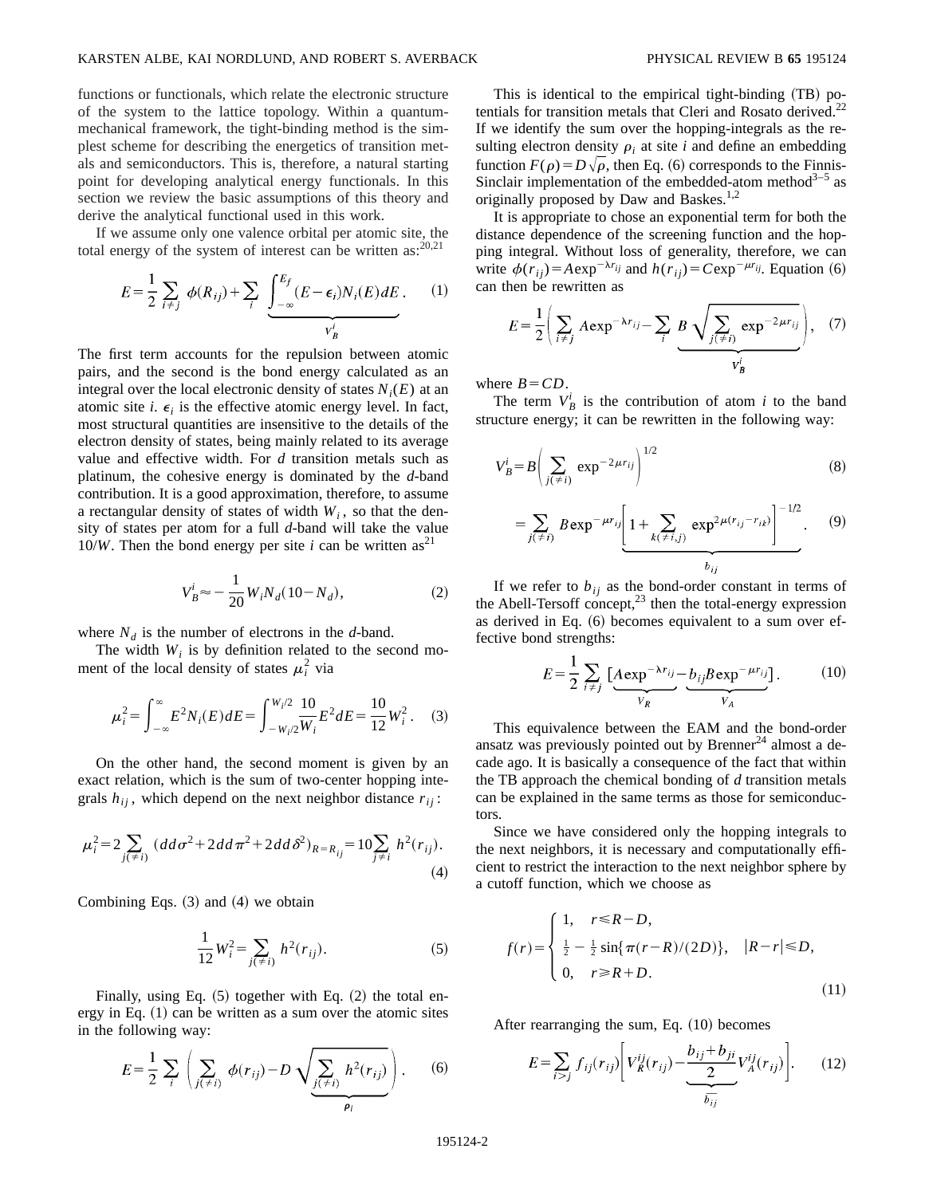functions or functionals, which relate the electronic structure of the system to the lattice topology. Within a quantummechanical framework, the tight-binding method is the simplest scheme for describing the energetics of transition metals and semiconductors. This is, therefore, a natural starting point for developing analytical energy functionals. In this section we review the basic assumptions of this theory and derive the analytical functional used in this work.

If we assume only one valence orbital per atomic site, the total energy of the system of interest can be written as: $20,21$ 

$$
E = \frac{1}{2} \sum_{i \neq j} \phi(R_{ij}) + \sum_{i} \underbrace{\int_{-\infty}^{E_f} (E - \epsilon_i) N_i(E) dE}_{V_B^i}.
$$
 (1)

The first term accounts for the repulsion between atomic pairs, and the second is the bond energy calculated as an integral over the local electronic density of states  $N_i(E)$  at an atomic site *i*.  $\epsilon_i$  is the effective atomic energy level. In fact, most structural quantities are insensitive to the details of the electron density of states, being mainly related to its average value and effective width. For *d* transition metals such as platinum, the cohesive energy is dominated by the *d*-band contribution. It is a good approximation, therefore, to assume a rectangular density of states of width  $W_i$ , so that the density of states per atom for a full *d*-band will take the value 10/*W*. Then the bond energy per site *i* can be written as<sup>21</sup>

$$
V_B^i \approx -\frac{1}{20} W_i N_d (10 - N_d), \qquad (2)
$$

where  $N_d$  is the number of electrons in the *d*-band.

The width  $W_i$  is by definition related to the second moment of the local density of states  $\mu_i^2$  via

$$
\mu_i^2 = \int_{-\infty}^{\infty} E^2 N_i(E) dE = \int_{-W_i/2}^{W_i/2} \frac{10}{W_i} E^2 dE = \frac{10}{12} W_i^2. \tag{3}
$$

On the other hand, the second moment is given by an exact relation, which is the sum of two-center hopping integrals  $h_{ij}$ , which depend on the next neighbor distance  $r_{ij}$ :

$$
\mu_i^2 = 2 \sum_{j(\neq i)} (dd\sigma^2 + 2dd\pi^2 + 2dd\delta^2)_{R=R_{ij}} = 10 \sum_{j\neq i} h^2(r_{ij}).
$$
\n(4)

Combining Eqs.  $(3)$  and  $(4)$  we obtain

$$
\frac{1}{12}W_i^2 = \sum_{j(\neq i)} h^2(r_{ij}).
$$
\n(5)

Finally, using Eq.  $(5)$  together with Eq.  $(2)$  the total energy in Eq.  $(1)$  can be written as a sum over the atomic sites in the following way:

$$
E = \frac{1}{2} \sum_{i} \left( \sum_{j(\neq i)} \phi(r_{ij}) - D \sqrt{\sum_{j(\neq i)} h^{2}(r_{ij})} \right).
$$
 (6)

This is identical to the empirical tight-binding  $(TB)$  potentials for transition metals that Cleri and Rosato derived.<sup>2</sup> If we identify the sum over the hopping-integrals as the resulting electron density  $\rho_i$  at site *i* and define an embedding function  $F(\rho) = D\sqrt{\rho}$ , then Eq. (6) corresponds to the Finnis-Sinclair implementation of the embedded-atom method<sup>3-5</sup> as originally proposed by Daw and Baskes.<sup>1,2</sup>

It is appropriate to chose an exponential term for both the distance dependence of the screening function and the hopping integral. Without loss of generality, therefore, we can write  $\phi(r_{ij})=A \exp^{-\lambda r_{ij}}$  and  $h(r_{ij})=C \exp^{-\mu r_{ij}}$ . Equation (6) can then be rewritten as

$$
E = \frac{1}{2} \left( \sum_{i \neq j} A \exp^{-\lambda r_{ij}} - \sum_{i} B \sqrt{\sum_{j(\neq i)} \exp^{-2\mu r_{ij}}} \right), \quad (7)
$$

where  $B = CD$ .

The term  $V_B^i$  is the contribution of atom *i* to the band structure energy; it can be rewritten in the following way:

$$
V_B^i = B \left( \sum_{j(\neq i)} \exp^{-2\mu r_{ij}} \right)^{1/2} \tag{8}
$$

$$
= \sum_{j(\neq i)} B \exp^{-\mu r_{ij}} \left[ 1 + \sum_{k(\neq i,j)} \exp^{2\mu(r_{ij} - r_{ik})} \right]^{-1/2}.
$$
 (9)

If we refer to  $b_{ij}$  as the bond-order constant in terms of the Abell-Tersoff concept, $^{23}$  then the total-energy expression as derived in Eq.  $(6)$  becomes equivalent to a sum over effective bond strengths:

$$
E = \frac{1}{2} \sum_{i \neq j} \left[ \underbrace{A \exp^{-\lambda r_{ij}}}_{V_R} - \underbrace{b_{ij} B \exp^{-\mu r_{ij}}}_{V_A} \right].
$$
 (10)

This equivalence between the EAM and the bond-order ansatz was previously pointed out by Brenner<sup>24</sup> almost a decade ago. It is basically a consequence of the fact that within the TB approach the chemical bonding of *d* transition metals can be explained in the same terms as those for semiconductors.

Since we have considered only the hopping integrals to the next neighbors, it is necessary and computationally efficient to restrict the interaction to the next neighbor sphere by a cutoff function, which we choose as

$$
f(r) = \begin{cases} 1, & r \le R - D, \\ \frac{1}{2} - \frac{1}{2} \sin{\pi (r - R)/(2D)}), & |R - r| \le D, \\ 0, & r \ge R + D. \end{cases}
$$
(11)

After rearranging the sum, Eq.  $(10)$  becomes

$$
E = \sum_{i > j} f_{ij}(r_{ij}) \left[ V_R^{ij}(r_{ij}) - \underbrace{\frac{b_{ij} + b_{ji}}{2}}_{\overline{b_{ij}}} V_A^{ij}(r_{ij}) \right]. \tag{12}
$$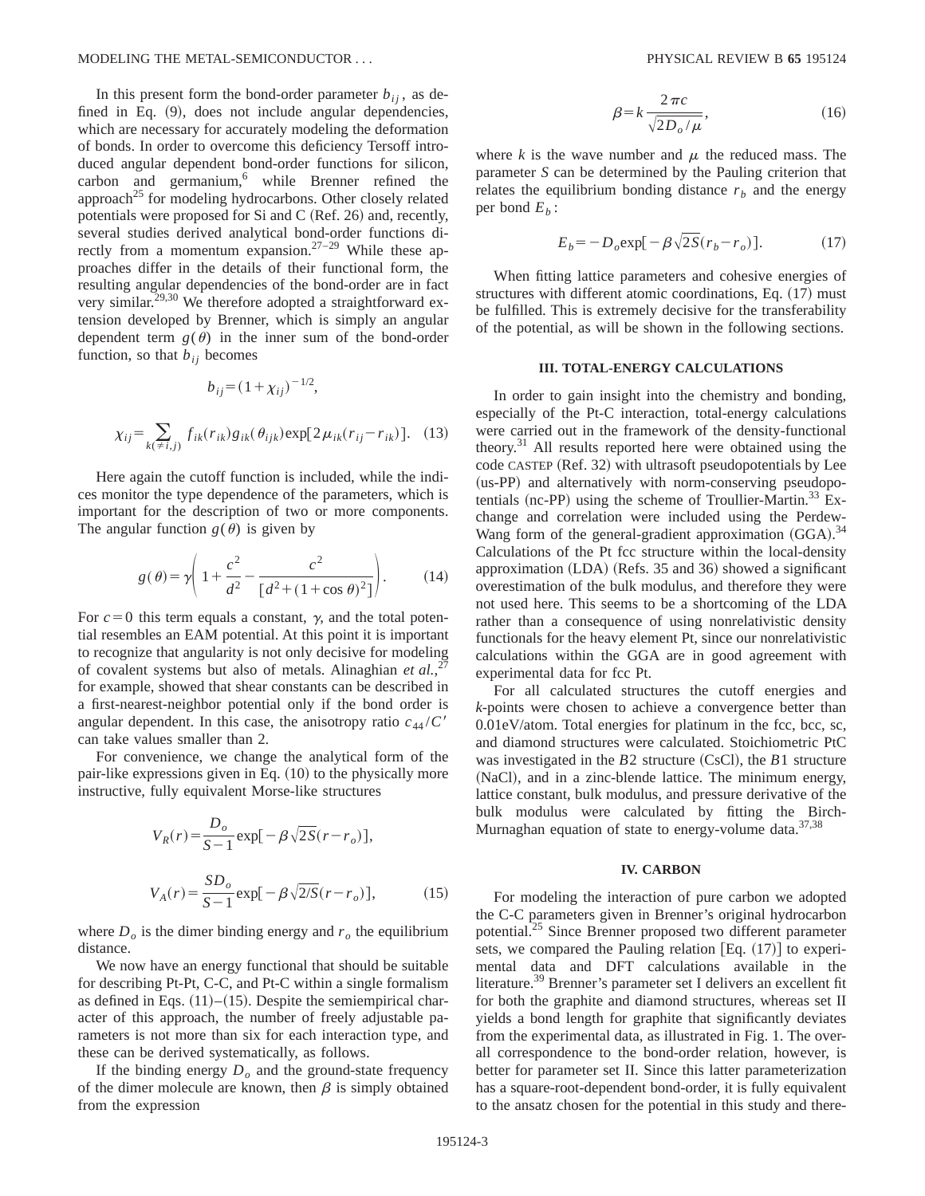In this present form the bond-order parameter  $b_{ii}$ , as defined in Eq.  $(9)$ , does not include angular dependencies, which are necessary for accurately modeling the deformation of bonds. In order to overcome this deficiency Tersoff introduced angular dependent bond-order functions for silicon, carbon and germanium,<sup>6</sup> while Brenner refined the approach<sup>25</sup> for modeling hydrocarbons. Other closely related potentials were proposed for Si and C (Ref. 26) and, recently, several studies derived analytical bond-order functions directly from a momentum expansion.<sup>27–29</sup> While these approaches differ in the details of their functional form, the resulting angular dependencies of the bond-order are in fact very similar.<sup>29,30</sup> We therefore adopted a straightforward extension developed by Brenner, which is simply an angular dependent term  $g(\theta)$  in the inner sum of the bond-order function, so that  $b_{ij}$  becomes

$$
b_{ij} = (1 + \chi_{ij})^{-1/2},
$$
  

$$
\chi_{ij} = \sum_{k(\neq i,j)} f_{ik}(r_{ik}) g_{ik}(\theta_{ijk}) \exp[2\mu_{ik}(r_{ij} - r_{ik})].
$$
 (13)

Here again the cutoff function is included, while the indices monitor the type dependence of the parameters, which is important for the description of two or more components. The angular function  $g(\theta)$  is given by

$$
g(\theta) = \gamma \left( 1 + \frac{c^2}{d^2} - \frac{c^2}{[d^2 + (1 + \cos \theta)^2]} \right). \tag{14}
$$

For  $c=0$  this term equals a constant,  $\gamma$ , and the total potential resembles an EAM potential. At this point it is important to recognize that angularity is not only decisive for modeling of covalent systems but also of metals. Alinaghian *et al.*, 27 for example, showed that shear constants can be described in a first-nearest-neighbor potential only if the bond order is angular dependent. In this case, the anisotropy ratio  $c_{44}/C'$ can take values smaller than 2.

For convenience, we change the analytical form of the pair-like expressions given in Eq.  $(10)$  to the physically more instructive, fully equivalent Morse-like structures

$$
V_R(r) = \frac{D_o}{S-1} \exp[-\beta \sqrt{2S}(r-r_o)],
$$
  

$$
V_A(r) = \frac{SD_o}{S-1} \exp[-\beta \sqrt{2/S}(r-r_o)],
$$
 (15)

where  $D<sub>o</sub>$  is the dimer binding energy and  $r<sub>o</sub>$  the equilibrium distance.

We now have an energy functional that should be suitable for describing Pt-Pt, C-C, and Pt-C within a single formalism as defined in Eqs.  $(11)–(15)$ . Despite the semiempirical character of this approach, the number of freely adjustable parameters is not more than six for each interaction type, and these can be derived systematically, as follows.

If the binding energy  $D<sub>o</sub>$  and the ground-state frequency of the dimer molecule are known, then  $\beta$  is simply obtained from the expression

$$
\beta = k \frac{2\pi c}{\sqrt{2D_o/\mu}},\tag{16}
$$

where  $k$  is the wave number and  $\mu$  the reduced mass. The parameter *S* can be determined by the Pauling criterion that relates the equilibrium bonding distance  $r<sub>b</sub>$  and the energy per bond  $E<sub>b</sub>$ :

$$
E_b = -D_o \exp[-\beta \sqrt{2S} (r_b - r_o)]. \tag{17}
$$

When fitting lattice parameters and cohesive energies of structures with different atomic coordinations, Eq.  $(17)$  must be fulfilled. This is extremely decisive for the transferability of the potential, as will be shown in the following sections.

#### **III. TOTAL-ENERGY CALCULATIONS**

In order to gain insight into the chemistry and bonding, especially of the Pt-C interaction, total-energy calculations were carried out in the framework of the density-functional theory.31 All results reported here were obtained using the code CASTEP (Ref. 32) with ultrasoft pseudopotentials by Lee (us-PP) and alternatively with norm-conserving pseudopotentials (nc-PP) using the scheme of Troullier-Martin.<sup>33</sup> Exchange and correlation were included using the Perdew-Wang form of the general-gradient approximation  $(GGA).$ <sup>34</sup> Calculations of the Pt fcc structure within the local-density approximation  $(LDA)$  (Refs. 35 and 36) showed a significant overestimation of the bulk modulus, and therefore they were not used here. This seems to be a shortcoming of the LDA rather than a consequence of using nonrelativistic density functionals for the heavy element Pt, since our nonrelativistic calculations within the GGA are in good agreement with experimental data for fcc Pt.

For all calculated structures the cutoff energies and *k*-points were chosen to achieve a convergence better than 0.01eV/atom. Total energies for platinum in the fcc, bcc, sc, and diamond structures were calculated. Stoichiometric PtC was investigated in the  $B2$  structure (CsCl), the  $B1$  structure (NaCl), and in a zinc-blende lattice. The minimum energy, lattice constant, bulk modulus, and pressure derivative of the bulk modulus were calculated by fitting the Birch-Murnaghan equation of state to energy-volume data.<sup>37,38</sup>

#### **IV. CARBON**

For modeling the interaction of pure carbon we adopted the C-C parameters given in Brenner's original hydrocarbon potential.25 Since Brenner proposed two different parameter sets, we compared the Pauling relation  $[Eq. (17)]$  to experimental data and DFT calculations available in the literature.39 Brenner's parameter set I delivers an excellent fit for both the graphite and diamond structures, whereas set II yields a bond length for graphite that significantly deviates from the experimental data, as illustrated in Fig. 1. The overall correspondence to the bond-order relation, however, is better for parameter set II. Since this latter parameterization has a square-root-dependent bond-order, it is fully equivalent to the ansatz chosen for the potential in this study and there-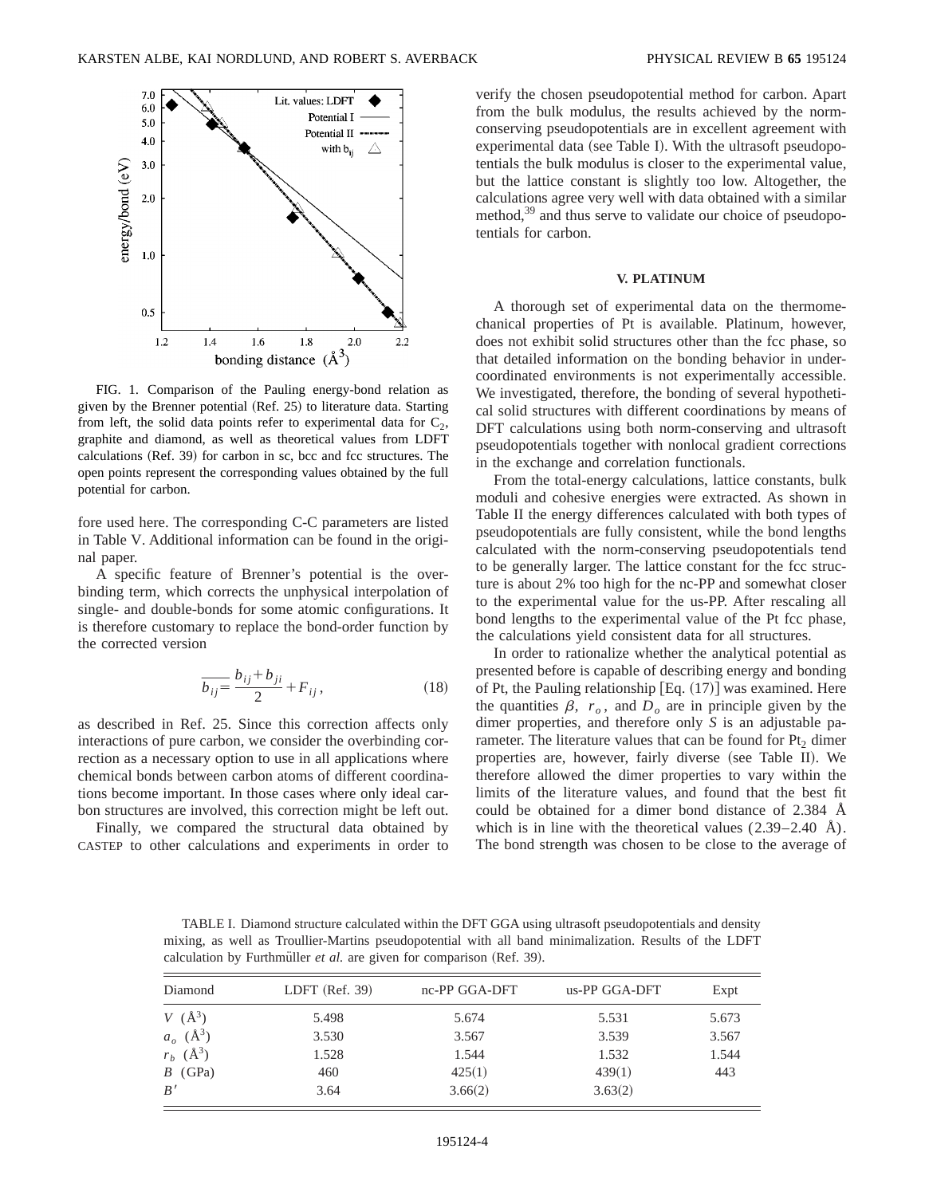

FIG. 1. Comparison of the Pauling energy-bond relation as given by the Brenner potential (Ref. 25) to literature data. Starting from left, the solid data points refer to experimental data for  $C_2$ , graphite and diamond, as well as theoretical values from LDFT calculations (Ref. 39) for carbon in sc, bcc and fcc structures. The open points represent the corresponding values obtained by the full potential for carbon.

fore used here. The corresponding C-C parameters are listed in Table V. Additional information can be found in the original paper.

A specific feature of Brenner's potential is the overbinding term, which corrects the unphysical interpolation of single- and double-bonds for some atomic configurations. It is therefore customary to replace the bond-order function by the corrected version

$$
\overline{b_{ij}} = \frac{b_{ij} + b_{ji}}{2} + F_{ij},
$$
\n(18)

as described in Ref. 25. Since this correction affects only interactions of pure carbon, we consider the overbinding correction as a necessary option to use in all applications where chemical bonds between carbon atoms of different coordinations become important. In those cases where only ideal carbon structures are involved, this correction might be left out.

Finally, we compared the structural data obtained by CASTEP to other calculations and experiments in order to verify the chosen pseudopotential method for carbon. Apart from the bulk modulus, the results achieved by the normconserving pseudopotentials are in excellent agreement with experimental data (see Table I). With the ultrasoft pseudopotentials the bulk modulus is closer to the experimental value, but the lattice constant is slightly too low. Altogether, the calculations agree very well with data obtained with a similar method,<sup>39</sup> and thus serve to validate our choice of pseudopotentials for carbon.

#### **V. PLATINUM**

A thorough set of experimental data on the thermomechanical properties of Pt is available. Platinum, however, does not exhibit solid structures other than the fcc phase, so that detailed information on the bonding behavior in undercoordinated environments is not experimentally accessible. We investigated, therefore, the bonding of several hypothetical solid structures with different coordinations by means of DFT calculations using both norm-conserving and ultrasoft pseudopotentials together with nonlocal gradient corrections in the exchange and correlation functionals.

From the total-energy calculations, lattice constants, bulk moduli and cohesive energies were extracted. As shown in Table II the energy differences calculated with both types of pseudopotentials are fully consistent, while the bond lengths calculated with the norm-conserving pseudopotentials tend to be generally larger. The lattice constant for the fcc structure is about 2% too high for the nc-PP and somewhat closer to the experimental value for the us-PP. After rescaling all bond lengths to the experimental value of the Pt fcc phase, the calculations yield consistent data for all structures.

In order to rationalize whether the analytical potential as presented before is capable of describing energy and bonding of Pt, the Pauling relationship  $[Eq. (17)]$  was examined. Here the quantities  $\beta$ ,  $r_o$ , and  $D_o$  are in principle given by the dimer properties, and therefore only *S* is an adjustable parameter. The literature values that can be found for  $Pt_2$  dimer properties are, however, fairly diverse (see Table II). We therefore allowed the dimer properties to vary within the limits of the literature values, and found that the best fit could be obtained for a dimer bond distance of 2.384 Å which is in line with the theoretical values  $(2.39-2.40 \text{ A})$ . The bond strength was chosen to be close to the average of

TABLE I. Diamond structure calculated within the DFT GGA using ultrasoft pseudopotentials and density mixing, as well as Troullier-Martins pseudopotential with all band minimalization. Results of the LDFT calculation by Furthmüller *et al.* are given for comparison (Ref. 39).

| Diamond                 | LDFT $(Ref. 39)$ | nc-PP GGA-DFT | us-PP GGA-DFT | Expt  |
|-------------------------|------------------|---------------|---------------|-------|
| $V(\AA^3)$              | 5.498            | 5.674         | 5.531         | 5.673 |
| $a_o \; (\text{\AA}^3)$ | 3.530            | 3.567         | 3.539         | 3.567 |
| $r_b$ ( $\AA^3$ )       | 1.528            | 1.544         | 1.532         | 1.544 |
| $B$ (GPa)               | 460              | 425(1)        | 439(1)        | 443   |
| B'                      | 3.64             | 3.66(2)       | 3.63(2)       |       |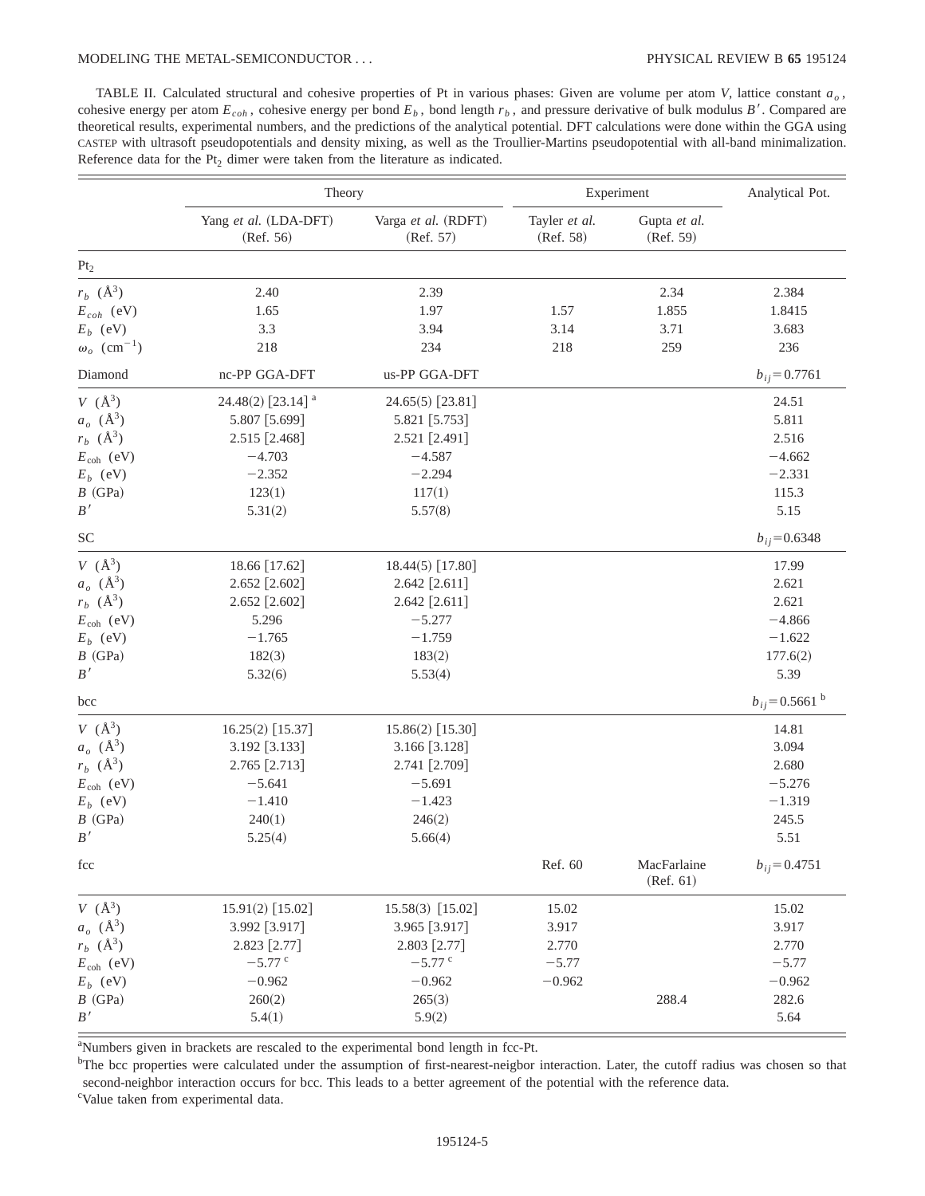TABLE II. Calculated structural and cohesive properties of Pt in various phases: Given are volume per atom *V*, lattice constant *ao* , cohesive energy per atom  $E_{coh}$ , cohesive energy per bond  $E_b$ , bond length  $r_b$ , and pressure derivative of bulk modulus *B'*. Compared are theoretical results, experimental numbers, and the predictions of the analytical potential. DFT calculations were done within the GGA using CASTEP with ultrasoft pseudopotentials and density mixing, as well as the Troullier-Martins pseudopotential with all-band minimalization. Reference data for the  $Pt_2$  dimer were taken from the literature as indicated.

|                                | Theory                             |                                  | Experiment                 |                           | Analytical Pot.                |
|--------------------------------|------------------------------------|----------------------------------|----------------------------|---------------------------|--------------------------------|
|                                | Yang et al. (LDA-DFT)<br>(Ref. 56) | Varga et al. (RDFT)<br>(Ref. 57) | Tayler et al.<br>(Ref. 58) | Gupta et al.<br>(Ref. 59) |                                |
| $\rm Pt_2$                     |                                    |                                  |                            |                           |                                |
| $r_b$ ( $\AA^3$ )              | 2.40                               | 2.39                             |                            | 2.34                      | 2.384                          |
| $E_{coh}$ (eV)                 | 1.65                               | 1.97                             | 1.57                       | 1.855                     | 1.8415                         |
| $E_b$ (eV)                     | 3.3                                | 3.94                             | 3.14                       | 3.71                      | 3.683                          |
| $\omega_o$ (cm <sup>-1</sup> ) | 218                                | 234                              | 218                        | 259                       | 236                            |
| Diamond                        | nc-PP GGA-DFT                      | us-PP GGA-DFT                    |                            |                           | $b_{ij} = 0.7761$              |
| $V(\AA^3)$                     | 24.48(2) [23.14] <sup>a</sup>      | 24.65(5) [23.81]                 |                            |                           | 24.51                          |
| $a_o \; (\text{Å}^3)$          | 5.807 [5.699]                      | 5.821 [5.753]                    |                            |                           | 5.811                          |
| $r_b$ ( $\AA^3$ )              | 2.515 [2.468]                      | 2.521 [2.491]                    |                            |                           | 2.516                          |
| $E_{\text{coh}}$ (eV)          | $-4.703$                           | $-4.587$                         |                            |                           | $-4.662$                       |
| $E_b$ (eV)                     | $-2.352$                           | $-2.294$                         |                            |                           | $-2.331$                       |
| $B$ (GPa)                      | 123(1)                             | 117(1)                           |                            |                           | 115.3                          |
| B'                             | 5.31(2)                            | 5.57(8)                          |                            |                           | 5.15                           |
| <b>SC</b>                      |                                    |                                  |                            |                           | $b_{ij} = 0.6348$              |
| $V(\AA^3)$                     | 18.66 [17.62]                      | 18.44(5) [17.80]                 |                            |                           | 17.99                          |
| $a_o \; (\text{Å}^3)$          | $2.652$ [2.602]                    | 2.642 [2.611]                    |                            |                           | 2.621                          |
| $r_b$ ( $\AA^3$ )              | 2.652 [2.602]                      | $2.642$ [2.611]                  |                            |                           | 2.621                          |
| $E_{\rm coh}$ (eV)             | 5.296                              | $-5.277$                         |                            |                           | $-4.866$                       |
| $E_b$ (eV)                     | $-1.765$                           | $-1.759$                         |                            |                           | $-1.622$                       |
| $B$ (GPa)                      | 182(3)                             | 183(2)                           |                            |                           | 177.6(2)                       |
| $B\,'$                         | 5.32(6)                            | 5.53(4)                          |                            |                           | 5.39                           |
| bcc                            |                                    |                                  |                            |                           | $b_{ij}$ = 0.5661 <sup>b</sup> |
| $V(\AA^3)$                     | 16.25(2) [15.37]                   | 15.86(2) [15.30]                 |                            |                           | 14.81                          |
| $a_o \; (\text{Å}^3)$          | 3.192 [3.133]                      | 3.166 [3.128]                    |                            |                           | 3.094                          |
| $r_b$ ( $\AA^3$ )              | 2.765 [2.713]                      | 2.741 [2.709]                    |                            |                           | 2.680                          |
| $E_{\rm coh}$ (eV)             | $-5.641$                           | $-5.691$                         |                            |                           | $-5.276$                       |
| $E_b$ (eV)                     | $-1.410$                           | $-1.423$                         |                            |                           | $-1.319$                       |
| $B$ (GPa)                      | 240(1)                             | 246(2)                           |                            |                           | 245.5                          |
| B'                             | 5.25(4)                            | 5.66(4)                          |                            |                           | 5.51                           |
| fcc                            |                                    |                                  | Ref. 60                    | MacFarlaine<br>(Ref. 61)  | $b_{ij} = 0.4751$              |
| $V(\AA^3)$                     | 15.91(2) [15.02]                   | 15.58(3) [15.02]                 | 15.02                      |                           | 15.02                          |
| $a_o \; (\text{\AA}^3)$        | 3.992 [3.917]                      | 3.965 [3.917]                    | 3.917                      |                           | 3.917                          |
| $r_b$ ( $\AA^3$ )              | 2.823 [2.77]                       | 2.803 [2.77]                     | 2.770                      |                           | 2.770                          |
| $E_{\text{coh}}$ (eV)          | $-5.77$ c                          | $-5.77$ c                        | $-5.77$                    |                           | $-5.77$                        |
| $E_b$ (eV)                     | $-0.962$                           | $-0.962$                         | $-0.962$                   |                           | $-0.962$                       |
| $B$ (GPa)                      | 260(2)                             | 265(3)                           |                            | 288.4                     | 282.6                          |
| $B^{\,\prime}$                 | 5.4(1)                             | 5.9(2)                           |                            |                           | 5.64                           |

<sup>a</sup>Numbers given in brackets are rescaled to the experimental bond length in fcc-Pt.

<sup>b</sup>The bcc properties were calculated under the assumption of first-nearest-neigbor interaction. Later, the cutoff radius was chosen so that second-neighbor interaction occurs for bcc. This leads to a better agreement of the potential with the reference data.

<sup>c</sup>Value taken from experimental data.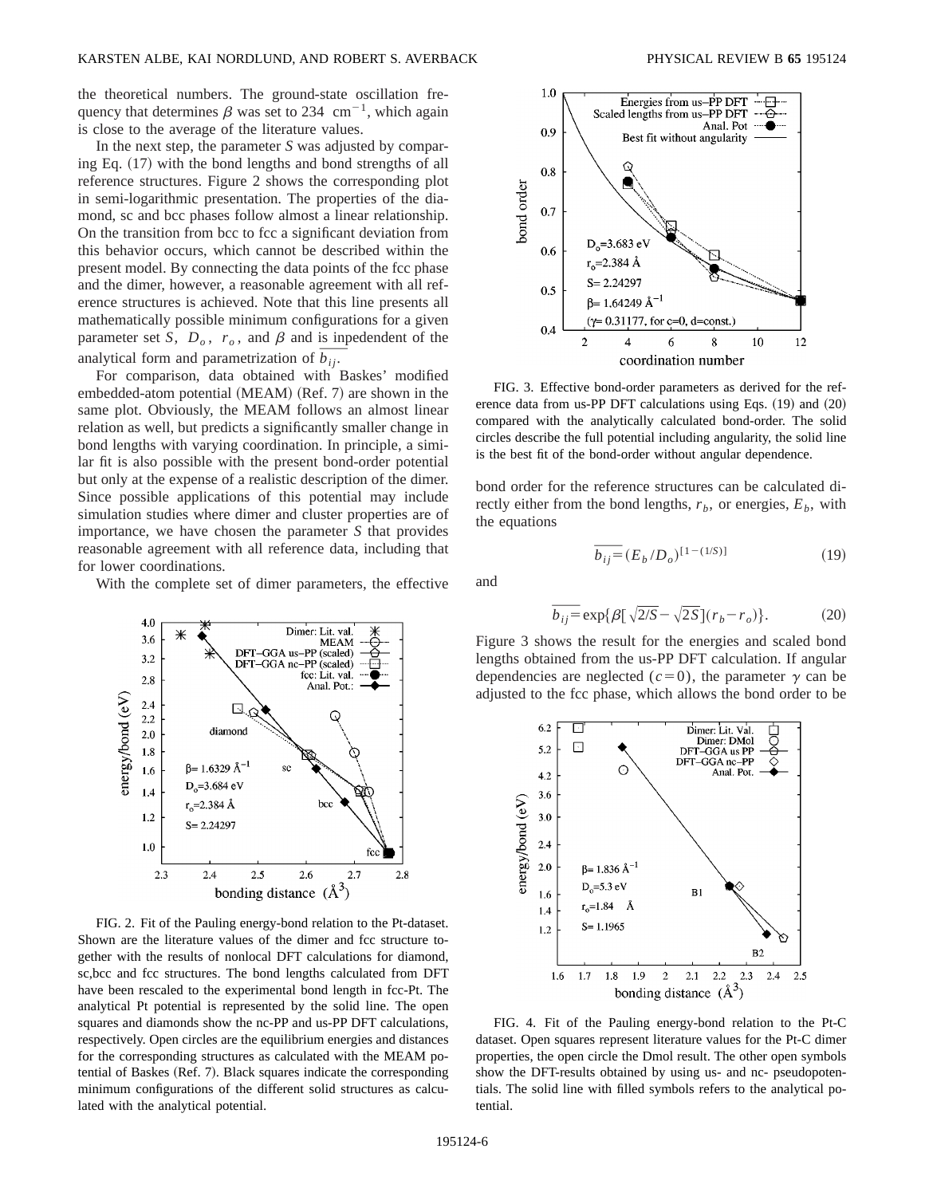the theoretical numbers. The ground-state oscillation frequency that determines  $\beta$  was set to 234 cm<sup>-1</sup>, which again is close to the average of the literature values.

In the next step, the parameter *S* was adjusted by comparing Eq.  $(17)$  with the bond lengths and bond strengths of all reference structures. Figure 2 shows the corresponding plot in semi-logarithmic presentation. The properties of the diamond, sc and bcc phases follow almost a linear relationship. On the transition from bcc to fcc a significant deviation from this behavior occurs, which cannot be described within the present model. By connecting the data points of the fcc phase and the dimer, however, a reasonable agreement with all reference structures is achieved. Note that this line presents all mathematically possible minimum configurations for a given parameter set *S*,  $D_0$ ,  $r_0$ , and  $\beta$  and is inpedendent of the analytical form and parametrization of  $\overline{b_{ij}}$ .

For comparison, data obtained with Baskes' modified embedded-atom potential  $(MEAM)$   $(Ref. 7)$  are shown in the same plot. Obviously, the MEAM follows an almost linear relation as well, but predicts a significantly smaller change in bond lengths with varying coordination. In principle, a similar fit is also possible with the present bond-order potential but only at the expense of a realistic description of the dimer. Since possible applications of this potential may include simulation studies where dimer and cluster properties are of importance, we have chosen the parameter *S* that provides reasonable agreement with all reference data, including that for lower coordinations.

With the complete set of dimer parameters, the effective



FIG. 2. Fit of the Pauling energy-bond relation to the Pt-dataset. Shown are the literature values of the dimer and fcc structure together with the results of nonlocal DFT calculations for diamond, sc,bcc and fcc structures. The bond lengths calculated from DFT have been rescaled to the experimental bond length in fcc-Pt. The analytical Pt potential is represented by the solid line. The open squares and diamonds show the nc-PP and us-PP DFT calculations, respectively. Open circles are the equilibrium energies and distances for the corresponding structures as calculated with the MEAM potential of Baskes (Ref. 7). Black squares indicate the corresponding minimum configurations of the different solid structures as calculated with the analytical potential.



FIG. 3. Effective bond-order parameters as derived for the reference data from us-PP DFT calculations using Eqs.  $(19)$  and  $(20)$ compared with the analytically calculated bond-order. The solid circles describe the full potential including angularity, the solid line is the best fit of the bond-order without angular dependence.

bond order for the reference structures can be calculated directly either from the bond lengths,  $r<sub>b</sub>$ , or energies,  $E<sub>b</sub>$ , with the equations

$$
\overline{b_{ij}} = (E_b/D_o)^{[1-(1/S)]}
$$
 (19)

and

$$
\overline{b_{ij}} = \exp\{\beta \left[\sqrt{2/S} - \sqrt{2S}\right](r_b - r_o)\}.
$$
 (20)

Figure 3 shows the result for the energies and scaled bond lengths obtained from the us-PP DFT calculation. If angular dependencies are neglected  $(c=0)$ , the parameter  $\gamma$  can be adjusted to the fcc phase, which allows the bond order to be



FIG. 4. Fit of the Pauling energy-bond relation to the Pt-C dataset. Open squares represent literature values for the Pt-C dimer properties, the open circle the Dmol result. The other open symbols show the DFT-results obtained by using us- and nc- pseudopotentials. The solid line with filled symbols refers to the analytical potential.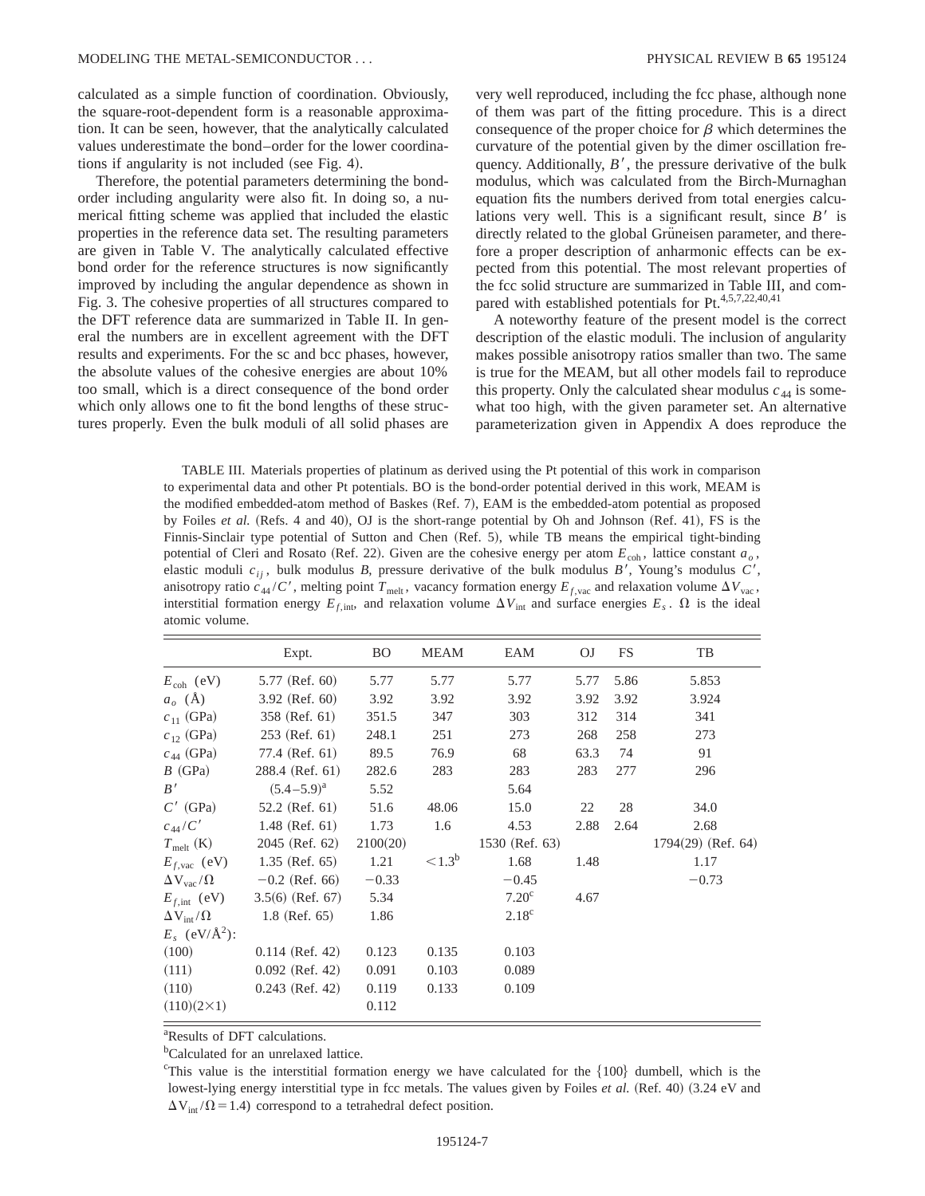calculated as a simple function of coordination. Obviously, the square-root-dependent form is a reasonable approximation. It can be seen, however, that the analytically calculated values underestimate the bond–order for the lower coordinations if angularity is not included (see Fig. 4).

Therefore, the potential parameters determining the bondorder including angularity were also fit. In doing so, a numerical fitting scheme was applied that included the elastic properties in the reference data set. The resulting parameters are given in Table V. The analytically calculated effective bond order for the reference structures is now significantly improved by including the angular dependence as shown in Fig. 3. The cohesive properties of all structures compared to the DFT reference data are summarized in Table II. In general the numbers are in excellent agreement with the DFT results and experiments. For the sc and bcc phases, however, the absolute values of the cohesive energies are about 10% too small, which is a direct consequence of the bond order which only allows one to fit the bond lengths of these structures properly. Even the bulk moduli of all solid phases are very well reproduced, including the fcc phase, although none of them was part of the fitting procedure. This is a direct consequence of the proper choice for  $\beta$  which determines the curvature of the potential given by the dimer oscillation frequency. Additionally,  $B'$ , the pressure derivative of the bulk modulus, which was calculated from the Birch-Murnaghan equation fits the numbers derived from total energies calculations very well. This is a significant result, since  $B'$  is directly related to the global Grüneisen parameter, and therefore a proper description of anharmonic effects can be expected from this potential. The most relevant properties of the fcc solid structure are summarized in Table III, and compared with established potentials for Pt.<sup>4,5,7,22,40,41</sup>

A noteworthy feature of the present model is the correct description of the elastic moduli. The inclusion of angularity makes possible anisotropy ratios smaller than two. The same is true for the MEAM, but all other models fail to reproduce this property. Only the calculated shear modulus  $c_{44}$  is somewhat too high, with the given parameter set. An alternative parameterization given in Appendix A does reproduce the

TABLE III. Materials properties of platinum as derived using the Pt potential of this work in comparison to experimental data and other Pt potentials. BO is the bond-order potential derived in this work, MEAM is the modified embedded-atom method of Baskes (Ref. 7), EAM is the embedded-atom potential as proposed by Foiles *et al.* (Refs. 4 and 40), OJ is the short-range potential by Oh and Johnson (Ref. 41), FS is the Finnis-Sinclair type potential of Sutton and Chen (Ref. 5), while TB means the empirical tight-binding potential of Cleri and Rosato (Ref. 22). Given are the cohesive energy per atom  $E_{\text{coh}}$ , lattice constant  $a<sub>o</sub>$ , elastic moduli  $c_{ij}$ , bulk modulus *B*, pressure derivative of the bulk modulus *B'*, Young's modulus *C'*, anisotropy ratio  $c_{44}/C'$ , melting point  $T_{\text{melt}}$ , vacancy formation energy  $E_{f,\text{vac}}$  and relaxation volume  $\Delta V_{\text{vac}}$ , interstitial formation energy  $E_{f, \text{int}}$ , and relaxation volume  $\Delta V_{\text{int}}$  and surface energies  $E_s$ .  $\Omega$  is the ideal atomic volume.

|                                | Expt.              | <b>BO</b> | <b>MEAM</b>     | EAM               | <b>OJ</b> | <b>FS</b> | TB                   |
|--------------------------------|--------------------|-----------|-----------------|-------------------|-----------|-----------|----------------------|
| $E_{\rm coh}$ (eV)             | 5.77 (Ref. 60)     | 5.77      | 5.77            | 5.77              | 5.77      | 5.86      | 5.853                |
| $a_o$ (Å)                      | 3.92 (Ref. 60)     | 3.92      | 3.92            | 3.92              | 3.92      | 3.92      | 3.924                |
| $c_{11}$ (GPa)                 | 358 (Ref. 61)      | 351.5     | 347             | 303               | 312       | 314       | 341                  |
| $c_{12}$ (GPa)                 | $253$ (Ref. 61)    | 248.1     | 251             | 273               | 268       | 258       | 273                  |
| $c_{44}$ (GPa)                 | 77.4 (Ref. 61)     | 89.5      | 76.9            | 68                | 63.3      | 74        | 91                   |
| $B$ (GPa)                      | 288.4 (Ref. 61)    | 282.6     | 283             | 283               | 283       | 277       | 296                  |
| B'                             | $(5.4-5.9)^{a}$    | 5.52      |                 | 5.64              |           |           |                      |
| $C'$ (GPa)                     | 52.2 (Ref. $61$ )  | 51.6      | 48.06           | 15.0              | 22        | 28        | 34.0                 |
| $c_{44}/C'$                    | $1.48$ (Ref. 61)   | 1.73      | 1.6             | 4.53              | 2.88      | 2.64      | 2.68                 |
| $T_{\text{melt}}$ (K)          | 2045 (Ref. 62)     | 2100(20)  |                 | 1530 (Ref. 63)    |           |           | $1794(29)$ (Ref. 64) |
| $E_{f, \text{vac}}$ (eV)       | $1.35$ (Ref. 65)   | 1.21      | $< 1.3^{\rm b}$ | 1.68              | 1.48      |           | 1.17                 |
| $\Delta V_{\rm vac}/\Omega$    | $-0.2$ (Ref. 66)   | $-0.33$   |                 | $-0.45$           |           |           | $-0.73$              |
| $E_{f, \text{int}}$ (eV)       | $3.5(6)$ (Ref. 67) | 5.34      |                 | 7.20 <sup>c</sup> | 4.67      |           |                      |
| $\Delta V_{\text{int}}/\Omega$ | $1.8$ (Ref. 65)    | 1.86      |                 | $2.18^{\circ}$    |           |           |                      |
| $E_s$ (eV/ $\rm \AA^2$ ):      |                    |           |                 |                   |           |           |                      |
| (100)                          | $0.114$ (Ref. 42)  | 0.123     | 0.135           | 0.103             |           |           |                      |
| (111)                          | $0.092$ (Ref. 42)  | 0.091     | 0.103           | 0.089             |           |           |                      |
| (110)                          | $0.243$ (Ref. 42)  | 0.119     | 0.133           | 0.109             |           |           |                      |
| $(110)(2\times1)$              |                    | 0.112     |                 |                   |           |           |                      |

a Results of DFT calculations.

<sup>b</sup>Calculated for an unrelaxed lattice.

<sup>&</sup>lt;sup>c</sup>This value is the interstitial formation energy we have calculated for the  $\{100\}$  dumbell, which is the lowest-lying energy interstitial type in fcc metals. The values given by Foiles *et al.* (Ref. 40) (3.24 eV and  $\Delta V_{int} / \Omega = 1.4$ ) correspond to a tetrahedral defect position.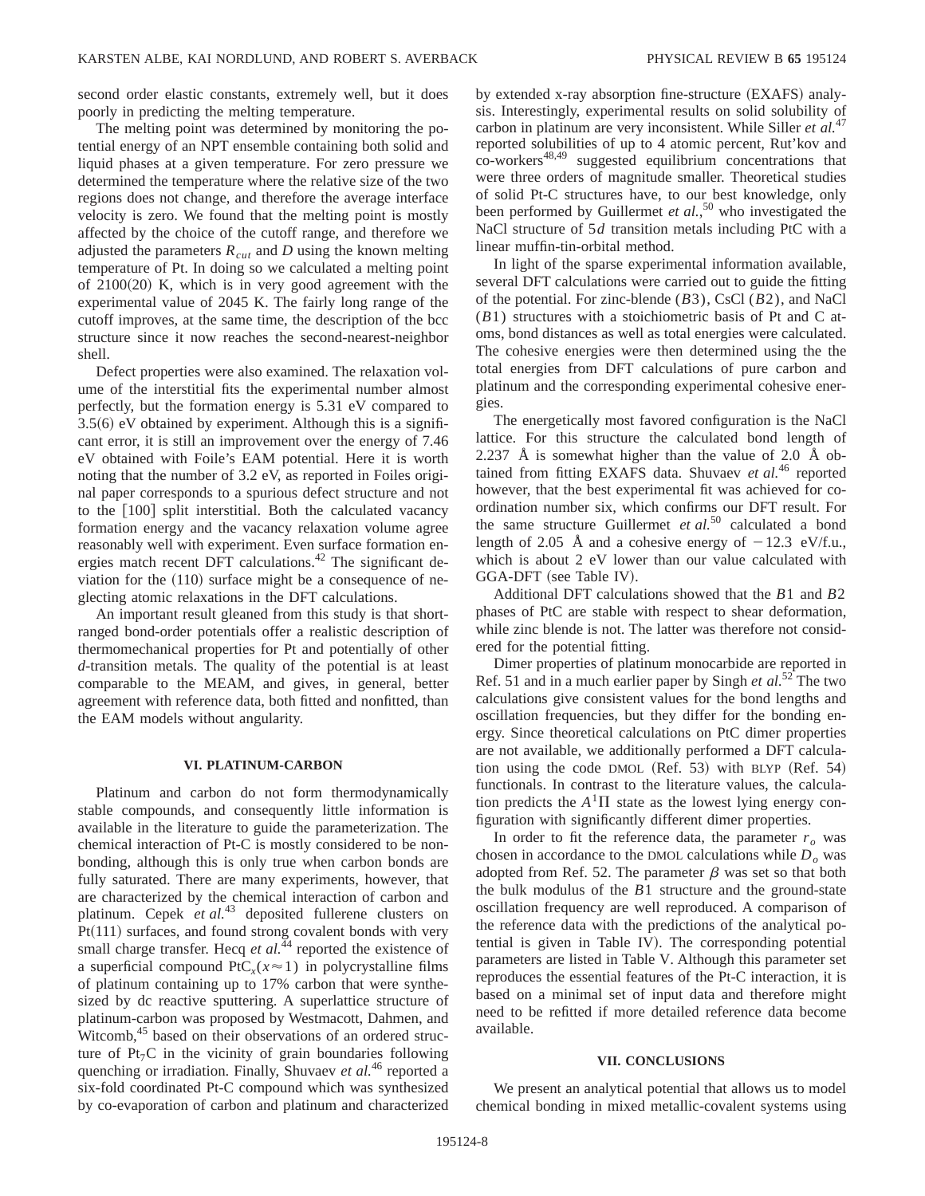second order elastic constants, extremely well, but it does poorly in predicting the melting temperature.

The melting point was determined by monitoring the potential energy of an NPT ensemble containing both solid and liquid phases at a given temperature. For zero pressure we determined the temperature where the relative size of the two regions does not change, and therefore the average interface velocity is zero. We found that the melting point is mostly affected by the choice of the cutoff range, and therefore we adjusted the parameters  $R_{cut}$  and  $D$  using the known melting temperature of Pt. In doing so we calculated a melting point of  $2100(20)$  K, which is in very good agreement with the experimental value of 2045 K. The fairly long range of the cutoff improves, at the same time, the description of the bcc structure since it now reaches the second-nearest-neighbor shell.

Defect properties were also examined. The relaxation volume of the interstitial fits the experimental number almost perfectly, but the formation energy is 5.31 eV compared to  $3.5(6)$  eV obtained by experiment. Although this is a significant error, it is still an improvement over the energy of 7.46 eV obtained with Foile's EAM potential. Here it is worth noting that the number of 3.2 eV, as reported in Foiles original paper corresponds to a spurious defect structure and not to the  $\lceil 100 \rceil$  split interstitial. Both the calculated vacancy formation energy and the vacancy relaxation volume agree reasonably well with experiment. Even surface formation energies match recent DFT calculations.<sup>42</sup> The significant deviation for the  $(110)$  surface might be a consequence of neglecting atomic relaxations in the DFT calculations.

An important result gleaned from this study is that shortranged bond-order potentials offer a realistic description of thermomechanical properties for Pt and potentially of other *d*-transition metals. The quality of the potential is at least comparable to the MEAM, and gives, in general, better agreement with reference data, both fitted and nonfitted, than the EAM models without angularity.

### **VI. PLATINUM-CARBON**

Platinum and carbon do not form thermodynamically stable compounds, and consequently little information is available in the literature to guide the parameterization. The chemical interaction of Pt-C is mostly considered to be nonbonding, although this is only true when carbon bonds are fully saturated. There are many experiments, however, that are characterized by the chemical interaction of carbon and platinum. Cepek *et al.*<sup>43</sup> deposited fullerene clusters on  $Pt(111)$  surfaces, and found strong covalent bonds with very small charge transfer. Hecq *et al.*<sup>44</sup> reported the existence of a superficial compound  $PtC_x(x \approx 1)$  in polycrystalline films of platinum containing up to 17% carbon that were synthesized by dc reactive sputtering. A superlattice structure of platinum-carbon was proposed by Westmacott, Dahmen, and Witcomb,<sup>45</sup> based on their observations of an ordered structure of  $Pt<sub>7</sub>C$  in the vicinity of grain boundaries following quenching or irradiation. Finally, Shuvaev *et al.*<sup>46</sup> reported a six-fold coordinated Pt-C compound which was synthesized by co-evaporation of carbon and platinum and characterized

by extended x-ray absorption fine-structure  $(EXAFS)$  analysis. Interestingly, experimental results on solid solubility of carbon in platinum are very inconsistent. While Siller *et al.*<sup>47</sup> reported solubilities of up to 4 atomic percent, Rut'kov and co-workers<sup>48,49</sup> suggested equilibrium concentrations that were three orders of magnitude smaller. Theoretical studies of solid Pt-C structures have, to our best knowledge, only been performed by Guillermet *et al.*, <sup>50</sup> who investigated the NaCl structure of 5*d* transition metals including PtC with a linear muffin-tin-orbital method.

In light of the sparse experimental information available, several DFT calculations were carried out to guide the fitting of the potential. For zinc-blende (*B*3), CsCl (*B*2), and NaCl (*B*1) structures with a stoichiometric basis of Pt and C atoms, bond distances as well as total energies were calculated. The cohesive energies were then determined using the the total energies from DFT calculations of pure carbon and platinum and the corresponding experimental cohesive energies.

The energetically most favored configuration is the NaCl lattice. For this structure the calculated bond length of 2.237 Å is somewhat higher than the value of 2.0 Å obtained from fitting EXAFS data. Shuvaev et al.<sup>46</sup> reported however, that the best experimental fit was achieved for coordination number six, which confirms our DFT result. For the same structure Guillermet *et al.*<sup>50</sup> calculated a bond length of 2.05 Å and a cohesive energy of  $-12.3 \text{ eV/f.u.}$ , which is about 2 eV lower than our value calculated with GGA-DFT (see Table IV).

Additional DFT calculations showed that the *B*1 and *B*2 phases of PtC are stable with respect to shear deformation, while zinc blende is not. The latter was therefore not considered for the potential fitting.

Dimer properties of platinum monocarbide are reported in Ref. 51 and in a much earlier paper by Singh *et al.*<sup>52</sup> The two calculations give consistent values for the bond lengths and oscillation frequencies, but they differ for the bonding energy. Since theoretical calculations on PtC dimer properties are not available, we additionally performed a DFT calculation using the code DMOL  $(Ref. 53)$  with BLYP  $(Ref. 54)$ functionals. In contrast to the literature values, the calculation predicts the  $A<sup>1</sup>\Pi$  state as the lowest lying energy configuration with significantly different dimer properties.

In order to fit the reference data, the parameter  $r<sub>o</sub>$  was chosen in accordance to the DMOL calculations while  $D<sub>o</sub>$  was adopted from Ref. 52. The parameter  $\beta$  was set so that both the bulk modulus of the *B*1 structure and the ground-state oscillation frequency are well reproduced. A comparison of the reference data with the predictions of the analytical potential is given in Table IV). The corresponding potential parameters are listed in Table V. Although this parameter set reproduces the essential features of the Pt-C interaction, it is based on a minimal set of input data and therefore might need to be refitted if more detailed reference data become available.

#### **VII. CONCLUSIONS**

We present an analytical potential that allows us to model chemical bonding in mixed metallic-covalent systems using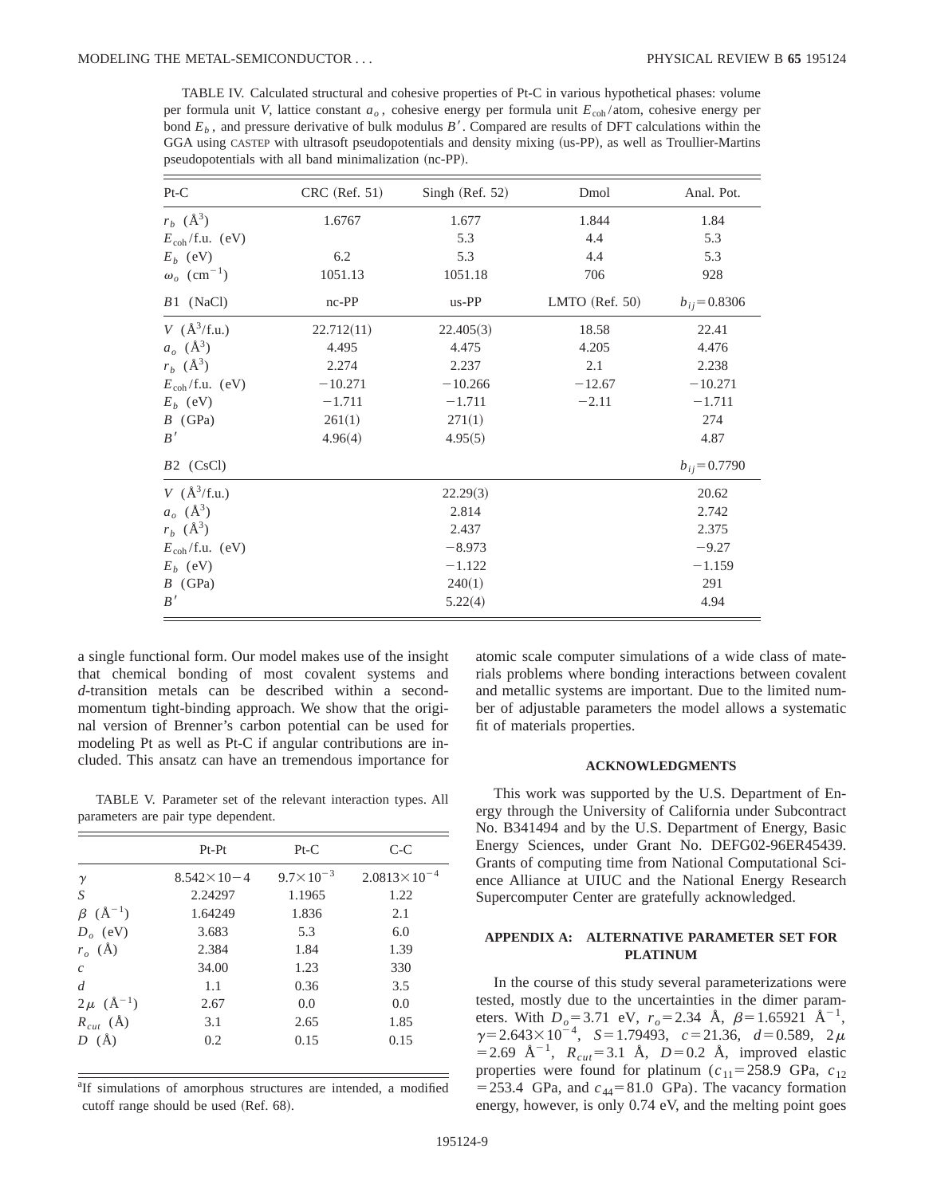TABLE IV. Calculated structural and cohesive properties of Pt-C in various hypothetical phases: volume per formula unit *V*, lattice constant *ao* , cohesive energy per formula unit *E*coh /atom, cohesive energy per bond  $E<sub>b</sub>$ , and pressure derivative of bulk modulus *B'*. Compared are results of DFT calculations within the GGA using CASTEP with ultrasoft pseudopotentials and density mixing (us-PP), as well as Troullier-Martins pseudopotentials with all band minimalization (nc-PP).

| $Pt-C$                         | CRC (Ref. 51) | Singh (Ref. 52) | Dmol           | Anal. Pot.        |
|--------------------------------|---------------|-----------------|----------------|-------------------|
| $r_b$ ( $\AA^3$ )              | 1.6767        | 1.677           | 1.844          | 1.84              |
| $E_{\rm coh}/f.u.$ (eV)        |               | 5.3             | 4.4            | 5.3               |
| $E_b$ (eV)                     | 6.2           | 5.3             | 4.4            | 5.3               |
| $\omega_o$ (cm <sup>-1</sup> ) | 1051.13       | 1051.18         | 706            | 928               |
| $B1$ (NaCl)                    | $nc-PP$       | us-PP           | LMTO (Ref. 50) | $b_{ij} = 0.8306$ |
| $V$ ( $\AA^3/f.u.$ )           | 22.712(11)    | 22.405(3)       | 18.58          | 22.41             |
| $a_o \; (\text{Å}^3)$          | 4.495         | 4.475           | 4.205          | 4.476             |
| $r_b$ ( $\AA^3$ )              | 2.274         | 2.237           | 2.1            | 2.238             |
| $E_{\text{coh}}/f.u.$ (eV)     | $-10.271$     | $-10.266$       | $-12.67$       | $-10.271$         |
| $E_b$ (eV)                     | $-1.711$      | $-1.711$        | $-2.11$        | $-1.711$          |
| $B$ (GPa)                      | 261(1)        | 271(1)          |                | 274               |
| B'                             | 4.96(4)       | 4.95(5)         |                | 4.87              |
| $B2$ (CsCl)                    |               |                 |                | $b_{ij} = 0.7790$ |
| $V$ ( $\AA^3/f.u.$ )           |               | 22.29(3)        |                | 20.62             |
| $a_o \; (\text{\AA}^3)$        |               | 2.814           |                | 2.742             |
| $r_b$ ( $\AA^3$ )              |               | 2.437           |                | 2.375             |
| $E_{\rm coh}/f.u.$ (eV)        |               | $-8.973$        |                | $-9.27$           |
| $E_b$ (eV)                     |               | $-1.122$        |                | $-1.159$          |
| $B$ (GPa)                      |               | 240(1)          |                | 291               |
| B'                             |               | 5.22(4)         |                | 4.94              |

a single functional form. Our model makes use of the insight that chemical bonding of most covalent systems and *d*-transition metals can be described within a secondmomentum tight-binding approach. We show that the original version of Brenner's carbon potential can be used for modeling Pt as well as Pt-C if angular contributions are included. This ansatz can have an tremendous importance for

TABLE V. Parameter set of the relevant interaction types. All parameters are pair type dependent.

|                         | $Pt-Pt$               | $Pt-C$               | $C-C$                   |
|-------------------------|-----------------------|----------------------|-------------------------|
| $\gamma$                | $8.542 \times 10 - 4$ | $9.7 \times 10^{-3}$ | $2.0813 \times 10^{-4}$ |
| S                       | 2.24297               | 1.1965               | 1.22                    |
| $(\AA^{-1})$<br>$\beta$ | 1.64249               | 1.836                | 2.1                     |
| $D_o$ (eV)              | 3.683                 | 5.3                  | 6.0                     |
| $r_o$ (Å)               | 2.384                 | 1.84                 | 1.39                    |
| $\mathcal{C}$           | 34.00                 | 1.23                 | 330                     |
| $\overline{d}$          | 1.1                   | 0.36                 | 3.5                     |
| $2\mu$ ( $\AA^{-1}$ )   | 2.67                  | 0.0                  | 0.0                     |
| $R_{cut}$ (Å)           | 3.1                   | 2.65                 | 1.85                    |
| $D(\AA)$                | 0.2                   | 0.15                 | 0.15                    |

<sup>a</sup>If simulations of amorphous structures are intended, a modified cutoff range should be used (Ref. 68).

atomic scale computer simulations of a wide class of materials problems where bonding interactions between covalent and metallic systems are important. Due to the limited number of adjustable parameters the model allows a systematic fit of materials properties.

### **ACKNOWLEDGMENTS**

This work was supported by the U.S. Department of Energy through the University of California under Subcontract No. B341494 and by the U.S. Department of Energy, Basic Energy Sciences, under Grant No. DEFG02-96ER45439. Grants of computing time from National Computational Science Alliance at UIUC and the National Energy Research Supercomputer Center are gratefully acknowledged.

## **APPENDIX A: ALTERNATIVE PARAMETER SET FOR PLATINUM**

In the course of this study several parameterizations were tested, mostly due to the uncertainties in the dimer parameters. With  $D_0 = 3.71$  eV,  $r_0 = 2.34$  Å,  $\beta = 1.65921$  Å<sup>-1</sup>,  $\gamma = 2.643 \times 10^{-4}$ ,  $S = 1.79493$ ,  $c = 21.36$ ,  $d = 0.589$ ,  $2 \mu$  $=$  2.69 Å<sup>-1</sup>,  $R_{cut}$ = 3.1 Å, *D*=0.2 Å, improved elastic properties were found for platinum  $(c_{11} = 258.9 \text{ GPa}, c_{12})$  $=$  253.4 GPa, and  $c_{44}$ = 81.0 GPa). The vacancy formation energy, however, is only 0.74 eV, and the melting point goes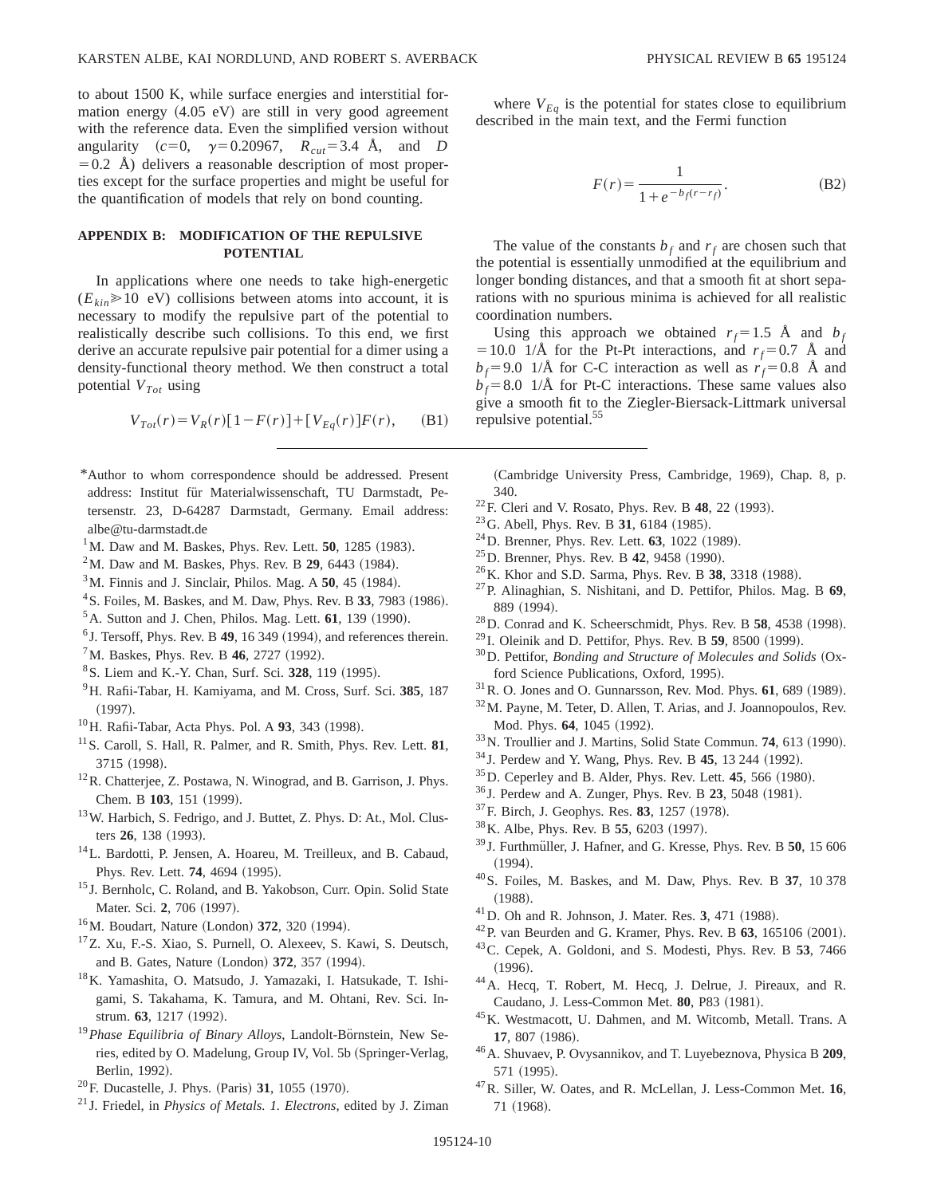to about 1500 K, while surface energies and interstitial formation energy  $(4.05 \text{ eV})$  are still in very good agreement with the reference data. Even the simplified version without angularity  $(c=0, \gamma=0.20967, R_{cut}=3.4 \text{ Å}, \text{ and } D$  $=0.2$  Å) delivers a reasonable description of most properties except for the surface properties and might be useful for the quantification of models that rely on bond counting.

# **APPENDIX B: MODIFICATION OF THE REPULSIVE POTENTIAL**

In applications where one needs to take high-energetic  $(E_{kin}\geq 10 \text{ eV})$  collisions between atoms into account, it is necessary to modify the repulsive part of the potential to realistically describe such collisions. To this end, we first derive an accurate repulsive pair potential for a dimer using a density-functional theory method. We then construct a total potential  $V_{Tot}$  using

$$
V_{Tot}(r) = V_R(r)[1 - F(r)] + [V_{Eq}(r)]F(r), \quad (B1)
$$

- \*Author to whom correspondence should be addressed. Present address: Institut für Materialwissenschaft, TU Darmstadt, Petersenstr. 23, D-64287 Darmstadt, Germany. Email address: albe@tu-darmstadt.de
- $1^1$ M. Daw and M. Baskes, Phys. Rev. Lett. **50**, 1285 (1983).
- $2^2$ M. Daw and M. Baskes, Phys. Rev. B 29, 6443 (1984).
- $3^3$ M. Finnis and J. Sinclair, Philos. Mag. A  $50$ , 45 (1984).
- $^{4}$ S. Foiles, M. Baskes, and M. Daw, Phys. Rev. B 33, 7983 (1986).
- ${}^{5}$ A. Sutton and J. Chen, Philos. Mag. Lett. **61**, 139 (1990).
- ${}^{6}$  J. Tersoff, Phys. Rev. B 49, 16 349 (1994), and references therein.  ${}^{7}$ M. Baskes, Phys. Rev. B 46, 2727 (1992).
- <sup>8</sup> S. Liem and K.-Y. Chan, Surf. Sci. 328, 119 (1995).
- 9H. Rafii-Tabar, H. Kamiyama, and M. Cross, Surf. Sci. **385**, 187  $(1997).$
- <sup>10</sup>H. Rafii-Tabar, Acta Phys. Pol. A 93, 343 (1998).
- 11S. Caroll, S. Hall, R. Palmer, and R. Smith, Phys. Rev. Lett. **81**, 3715 (1998).
- 12R. Chatterjee, Z. Postawa, N. Winograd, and B. Garrison, J. Phys. Chem. B 103, 151 (1999).
- 13W. Harbich, S. Fedrigo, and J. Buttet, Z. Phys. D: At., Mol. Clusters 26, 138 (1993).
- <sup>14</sup>L. Bardotti, P. Jensen, A. Hoareu, M. Treilleux, and B. Cabaud, Phys. Rev. Lett. **74**, 4694 (1995).
- <sup>15</sup> J. Bernholc, C. Roland, and B. Yakobson, Curr. Opin. Solid State Mater. Sci. 2, 706 (1997).
- <sup>16</sup>M. Boudart, Nature (London) **372**, 320 (1994).
- 17Z. Xu, F.-S. Xiao, S. Purnell, O. Alexeev, S. Kawi, S. Deutsch, and B. Gates, Nature (London) 372, 357 (1994).
- 18K. Yamashita, O. Matsudo, J. Yamazaki, I. Hatsukade, T. Ishigami, S. Takahama, K. Tamura, and M. Ohtani, Rev. Sci. Instrum. **63**, 1217 (1992).
- <sup>19</sup> Phase Equilibria of Binary Alloys, Landolt-Börnstein, New Series, edited by O. Madelung, Group IV, Vol. 5b (Springer-Verlag, Berlin, 1992).
- <sup>20</sup>F. Ducastelle, J. Phys. (Paris) **31**, 1055 (1970).
- <sup>21</sup> J. Friedel, in *Physics of Metals. 1. Electrons*, edited by J. Ziman

where  $V_{Eq}$  is the potential for states close to equilibrium described in the main text, and the Fermi function

$$
F(r) = \frac{1}{1 + e^{-b_f(r - r_f)}}.
$$
 (B2)

The value of the constants  $b_f$  and  $r_f$  are chosen such that the potential is essentially unmodified at the equilibrium and longer bonding distances, and that a smooth fit at short separations with no spurious minima is achieved for all realistic coordination numbers.

Using this approach we obtained  $r_f=1.5$  Å and  $b_f$  $=10.0$  1/Å for the Pt-Pt interactions, and  $r_f=0.7$  Å and  $b_f$ =9.0 1/Å for C-C interaction as well as  $r_f$ =0.8 Å and  $b_f = 8.0$  1/Å for Pt-C interactions. These same values also give a smooth fit to the Ziegler-Biersack-Littmark universal repulsive potential.<sup>55</sup>

(Cambridge University Press, Cambridge, 1969), Chap. 8, p. 340.

- <sup>22</sup>F. Cleri and V. Rosato, Phys. Rev. B **48**, 22 (1993).
- <sup>23</sup>G. Abell, Phys. Rev. B **31**, 6184 (1985).
- <sup>24</sup>D. Brenner, Phys. Rev. Lett. **63**, 1022 (1989).
- <sup>25</sup>D. Brenner, Phys. Rev. B **42**, 9458 (1990).
- <sup>26</sup>K. Khor and S.D. Sarma, Phys. Rev. B 38, 3318 (1988).
- 27P. Alinaghian, S. Nishitani, and D. Pettifor, Philos. Mag. B **69**, 889 (1994).
- $^{28}$ D. Conrad and K. Scheerschmidt, Phys. Rev. B 58, 4538 (1998).
- <sup>29</sup> I. Oleinik and D. Pettifor, Phys. Rev. B **59**, 8500 (1999).
- <sup>30</sup>D. Pettifor, *Bonding and Structure of Molecules and Solids* (Oxford Science Publications, Oxford, 1995).
- $31$  R. O. Jones and O. Gunnarsson, Rev. Mod. Phys.  $61, 689$  (1989).
- 32M. Payne, M. Teter, D. Allen, T. Arias, and J. Joannopoulos, Rev. Mod. Phys. 64, 1045 (1992).
- <sup>33</sup>N. Troullier and J. Martins, Solid State Commun. **74**, 613 (1990).
- <sup>34</sup> J. Perdew and Y. Wang, Phys. Rev. B **45**, 13 244 (1992).
- $^{35}$ D. Ceperley and B. Alder, Phys. Rev. Lett. **45**, 566  $(1980)$ .
- <sup>36</sup> J. Perdew and A. Zunger, Phys. Rev. B **23**, 5048 (1981).
- $37$ F. Birch, J. Geophys. Res. **83**, 1257 (1978).
- <sup>38</sup> K. Albe, Phys. Rev. B **55**, 6203 (1997).
- <sup>39</sup> J. Furthmüller, J. Hafner, and G. Kresse, Phys. Rev. B **50**, 15 606  $(1994).$
- 40S. Foiles, M. Baskes, and M. Daw, Phys. Rev. B **37**, 10 378  $(1988).$
- <sup>41</sup> D. Oh and R. Johnson, J. Mater. Res. 3, 471 (1988).
- $^{42}$ P. van Beurden and G. Kramer, Phys. Rev. B  $63$ , 165106 (2001).
- 43C. Cepek, A. Goldoni, and S. Modesti, Phys. Rev. B **53**, 7466  $(1996).$
- 44A. Hecq, T. Robert, M. Hecq, J. Delrue, J. Pireaux, and R. Caudano, J. Less-Common Met. **80**, P83 (1981).
- 45K. Westmacott, U. Dahmen, and M. Witcomb, Metall. Trans. A 17, 807 (1986).
- 46A. Shuvaev, P. Ovysannikov, and T. Luyebeznova, Physica B **209**, 571 (1995).
- 47R. Siller, W. Oates, and R. McLellan, J. Less-Common Met. **16**, 71 (1968).